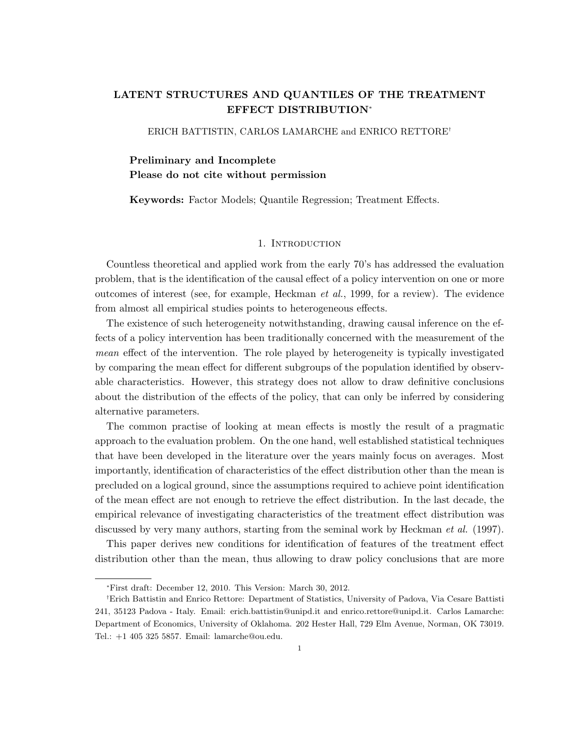# **LATENT STRUCTURES AND QUANTILES OF THE TREATMENT EFFECT DISTRIBUTION***<sup>∗</sup>*

ERICH BATTISTIN, CARLOS LAMARCHE and ENRICO RETTORE*†*

# **Preliminary and Incomplete Please do not cite without permission**

**Keywords:** Factor Models; Quantile Regression; Treatment Effects.

## 1. INTRODUCTION

Countless theoretical and applied work from the early 70's has addressed the evaluation problem, that is the identification of the causal effect of a policy intervention on one or more outcomes of interest (see, for example, Heckman *et al.*, 1999, for a review). The evidence from almost all empirical studies points to heterogeneous effects.

The existence of such heterogeneity notwithstanding, drawing causal inference on the effects of a policy intervention has been traditionally concerned with the measurement of the *mean* effect of the intervention. The role played by heterogeneity is typically investigated by comparing the mean effect for different subgroups of the population identified by observable characteristics. However, this strategy does not allow to draw definitive conclusions about the distribution of the effects of the policy, that can only be inferred by considering alternative parameters.

The common practise of looking at mean effects is mostly the result of a pragmatic approach to the evaluation problem. On the one hand, well established statistical techniques that have been developed in the literature over the years mainly focus on averages. Most importantly, identification of characteristics of the effect distribution other than the mean is precluded on a logical ground, since the assumptions required to achieve point identification of the mean effect are not enough to retrieve the effect distribution. In the last decade, the empirical relevance of investigating characteristics of the treatment effect distribution was discussed by very many authors, starting from the seminal work by Heckman *et al.* (1997).

This paper derives new conditions for identification of features of the treatment effect distribution other than the mean, thus allowing to draw policy conclusions that are more

*<sup>∗</sup>*First draft: December 12, 2010. This Version: March 30, 2012.

*<sup>†</sup>*Erich Battistin and Enrico Rettore: Department of Statistics, University of Padova, Via Cesare Battisti 241, 35123 Padova - Italy. Email: erich.battistin@unipd.it and enrico.rettore@unipd.it. Carlos Lamarche: Department of Economics, University of Oklahoma. 202 Hester Hall, 729 Elm Avenue, Norman, OK 73019. Tel.: +1 405 325 5857. Email: lamarche@ou.edu.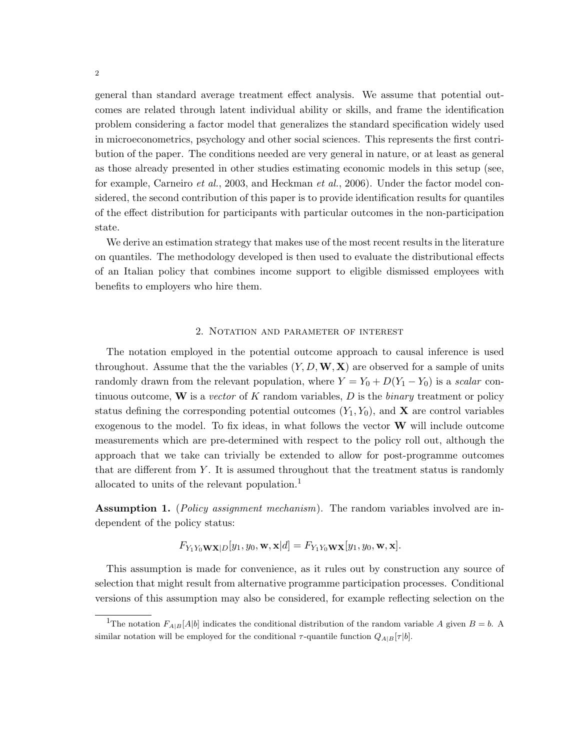general than standard average treatment effect analysis. We assume that potential outcomes are related through latent individual ability or skills, and frame the identification problem considering a factor model that generalizes the standard specification widely used in microeconometrics, psychology and other social sciences. This represents the first contribution of the paper. The conditions needed are very general in nature, or at least as general as those already presented in other studies estimating economic models in this setup (see, for example, Carneiro *et al.*, 2003, and Heckman *et al.*, 2006). Under the factor model considered, the second contribution of this paper is to provide identification results for quantiles of the effect distribution for participants with particular outcomes in the non-participation state.

We derive an estimation strategy that makes use of the most recent results in the literature on quantiles. The methodology developed is then used to evaluate the distributional effects of an Italian policy that combines income support to eligible dismissed employees with benefits to employers who hire them.

#### 2. Notation and parameter of interest

The notation employed in the potential outcome approach to causal inference is used throughout. Assume that the the variables  $(Y, D, \mathbf{W}, \mathbf{X})$  are observed for a sample of units randomly drawn from the relevant population, where  $Y = Y_0 + D(Y_1 - Y_0)$  is a *scalar* continuous outcome, **W** is a *vector* of *K* random variables, *D* is the *binary* treatment or policy status defining the corresponding potential outcomes  $(Y_1, Y_0)$ , and **X** are control variables exogenous to the model. To fix ideas, in what follows the vector **W** will include outcome measurements which are pre-determined with respect to the policy roll out, although the approach that we take can trivially be extended to allow for post-programme outcomes that are different from *Y* . It is assumed throughout that the treatment status is randomly allocated to units of the relevant population.<sup>1</sup>

**Assumption 1.** (*Policy assignment mechanism*). The random variables involved are independent of the policy status:

$$
F_{Y_1Y_0\mathbf{WX}|D}[y_1,y_0,\mathbf{w},\mathbf{x}|d] = F_{Y_1Y_0\mathbf{WX}}[y_1,y_0,\mathbf{w},\mathbf{x}].
$$

This assumption is made for convenience, as it rules out by construction any source of selection that might result from alternative programme participation processes. Conditional versions of this assumption may also be considered, for example reflecting selection on the

<sup>&</sup>lt;sup>1</sup>The notation  $F_{A|B}[A|b]$  indicates the conditional distribution of the random variable *A* given  $B = b$ . A similar notation will be employed for the conditional  $\tau$ -quantile function  $Q_{A|B}[\tau|b]$ .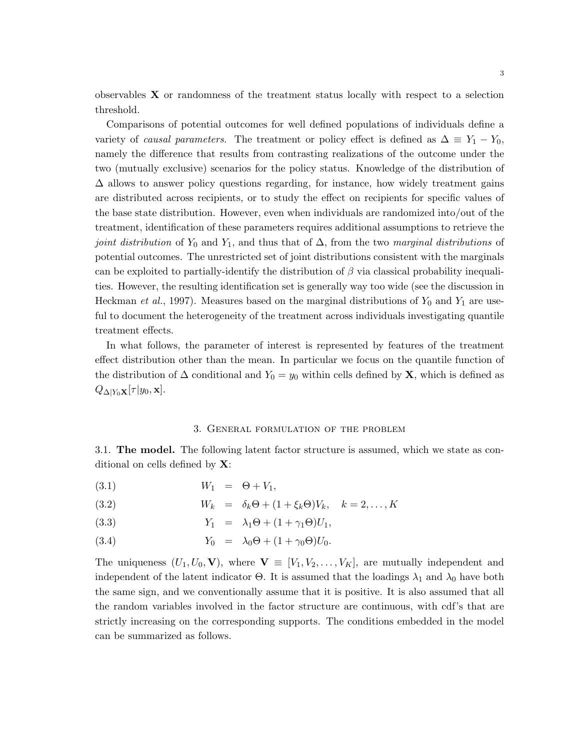observables **X** or randomness of the treatment status locally with respect to a selection threshold.

Comparisons of potential outcomes for well defined populations of individuals define a variety of *causal parameters*. The treatment or policy effect is defined as  $\Delta \equiv Y_1 - Y_0$ , namely the difference that results from contrasting realizations of the outcome under the two (mutually exclusive) scenarios for the policy status. Knowledge of the distribution of  $\Delta$  allows to answer policy questions regarding, for instance, how widely treatment gains are distributed across recipients, or to study the effect on recipients for specific values of the base state distribution. However, even when individuals are randomized into/out of the treatment, identification of these parameters requires additional assumptions to retrieve the *joint distribution* of  $Y_0$  and  $Y_1$ , and thus that of  $\Delta$ , from the two *marginal distributions* of potential outcomes. The unrestricted set of joint distributions consistent with the marginals can be exploited to partially-identify the distribution of *β* via classical probability inequalities. However, the resulting identification set is generally way too wide (see the discussion in Heckman *et al.*, 1997). Measures based on the marginal distributions of  $Y_0$  and  $Y_1$  are useful to document the heterogeneity of the treatment across individuals investigating quantile treatment effects.

In what follows, the parameter of interest is represented by features of the treatment effect distribution other than the mean. In particular we focus on the quantile function of the distribution of  $\Delta$  conditional and  $Y_0 = y_0$  within cells defined by **X**, which is defined as  $Q_{\Delta|Y_0}$ **x**[ $\tau$ |*y*<sub>0</sub>, **x**].

#### 3. General formulation of the problem

3.1. **The model.** The following latent factor structure is assumed, which we state as conditional on cells defined by **X**:

(3.1)  $W_1 = \Theta + V_1$ ,

(3.2) 
$$
W_k = \delta_k \Theta + (1 + \xi_k \Theta) V_k, \quad k = 2, \dots, K
$$

$$
(3.3) \t Y_1 = \lambda_1 \Theta + (1 + \gamma_1 \Theta) U_1,
$$

(3.4)  $Y_0 = \lambda_0 \Theta + (1 + \gamma_0 \Theta) U_0$ .

The uniqueness  $(U_1, U_0, \mathbf{V})$ , where  $\mathbf{V} \equiv [V_1, V_2, \dots, V_K]$ , are mutually independent and independent of the latent indicator  $\Theta$ . It is assumed that the loadings  $\lambda_1$  and  $\lambda_0$  have both the same sign, and we conventionally assume that it is positive. It is also assumed that all the random variables involved in the factor structure are continuous, with cdf's that are strictly increasing on the corresponding supports. The conditions embedded in the model can be summarized as follows.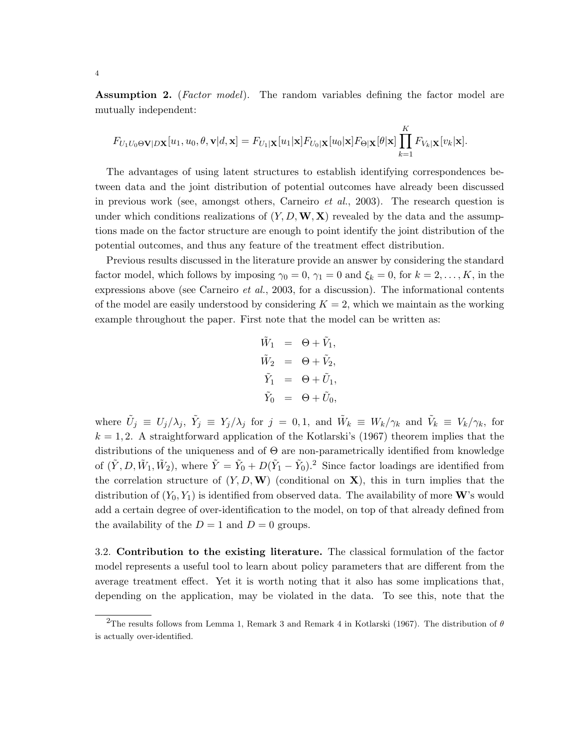**Assumption 2.** (*Factor model*). The random variables defining the factor model are mutually independent:

$$
F_{U_1U_0\Theta\mathbf{V}|D\mathbf{X}}[u_1, u_0, \theta, \mathbf{v}|d, \mathbf{x}] = F_{U_1|\mathbf{X}}[u_1|\mathbf{x}]F_{U_0|\mathbf{X}}[u_0|\mathbf{x}]F_{\Theta|\mathbf{X}}[\theta|\mathbf{x}] \prod_{k=1}^K F_{V_k|\mathbf{X}}[v_k|\mathbf{x}].
$$

The advantages of using latent structures to establish identifying correspondences between data and the joint distribution of potential outcomes have already been discussed in previous work (see, amongst others, Carneiro *et al.*, 2003). The research question is under which conditions realizations of  $(Y, D, \mathbf{W}, \mathbf{X})$  revealed by the data and the assumptions made on the factor structure are enough to point identify the joint distribution of the potential outcomes, and thus any feature of the treatment effect distribution.

Previous results discussed in the literature provide an answer by considering the standard factor model, which follows by imposing  $\gamma_0 = 0$ ,  $\gamma_1 = 0$  and  $\xi_k = 0$ , for  $k = 2, \ldots, K$ , in the expressions above (see Carneiro *et al.*, 2003, for a discussion). The informational contents of the model are easily understood by considering  $K = 2$ , which we maintain as the working example throughout the paper. First note that the model can be written as:

$$
\tilde{W}_1 = \Theta + \tilde{V}_1,
$$
  
\n
$$
\tilde{W}_2 = \Theta + \tilde{V}_2,
$$
  
\n
$$
\tilde{Y}_1 = \Theta + \tilde{U}_1,
$$
  
\n
$$
\tilde{Y}_0 = \Theta + \tilde{U}_0,
$$

where  $\tilde{U}_j \equiv U_j/\lambda_j$ ,  $\tilde{Y}_j \equiv Y_j/\lambda_j$  for  $j = 0,1$ , and  $\tilde{W}_k \equiv W_k/\gamma_k$  and  $\tilde{V}_k \equiv V_k/\gamma_k$ , for  $k = 1, 2$ . A straightforward application of the Kotlarski's (1967) theorem implies that the distributions of the uniqueness and of  $\Theta$  are non-parametrically identified from knowledge of  $(\tilde{Y}, D, \tilde{W}_1, \tilde{W}_2)$ , where  $\tilde{Y} = \tilde{Y}_0 + D(\tilde{Y}_1 - \tilde{Y}_0)$ .<sup>2</sup> Since factor loadings are identified from the correlation structure of  $(Y, D, \mathbf{W})$  (conditional on **X**), this in turn implies that the distribution of  $(Y_0, Y_1)$  is identified from observed data. The availability of more **W**'s would add a certain degree of over-identification to the model, on top of that already defined from the availability of the  $D = 1$  and  $D = 0$  groups.

3.2. **Contribution to the existing literature.** The classical formulation of the factor model represents a useful tool to learn about policy parameters that are different from the average treatment effect. Yet it is worth noting that it also has some implications that, depending on the application, may be violated in the data. To see this, note that the

<sup>2</sup>The results follows from Lemma 1, Remark 3 and Remark 4 in Kotlarski (1967). The distribution of *θ* is actually over-identified.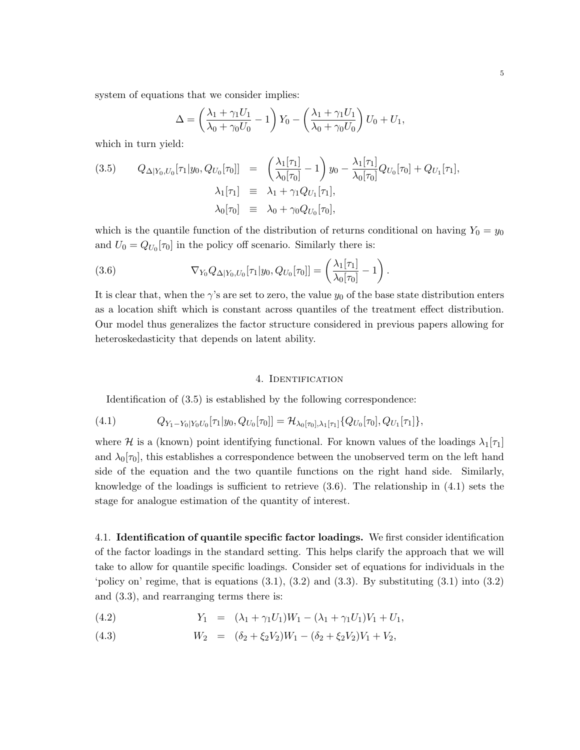system of equations that we consider implies:

$$
\Delta = \left(\frac{\lambda_1 + \gamma_1 U_1}{\lambda_0 + \gamma_0 U_0} - 1\right) Y_0 - \left(\frac{\lambda_1 + \gamma_1 U_1}{\lambda_0 + \gamma_0 U_0}\right) U_0 + U_1,
$$

which in turn yield:

(3.5) 
$$
Q_{\Delta|Y_0, U_0}[\tau_1|y_0, Q_{U_0}[\tau_0]] = \left(\frac{\lambda_1[\tau_1]}{\lambda_0[\tau_0]} - 1\right) y_0 - \frac{\lambda_1[\tau_1]}{\lambda_0[\tau_0]} Q_{U_0}[\tau_0] + Q_{U_1}[\tau_1],
$$

$$
\lambda_1[\tau_1] = \lambda_1 + \gamma_1 Q_{U_1}[\tau_1],
$$

$$
\lambda_0[\tau_0] = \lambda_0 + \gamma_0 Q_{U_0}[\tau_0],
$$

which is the quantile function of the distribution of returns conditional on having  $Y_0 = y_0$ and  $U_0 = Q_{U_0}[\tau_0]$  in the policy off scenario. Similarly there is:

(3.6) 
$$
\nabla_{Y_0} Q_{\Delta | Y_0, U_0}[\tau_1 | y_0, Q_{U_0}[\tau_0]] = \left(\frac{\lambda_1[\tau_1]}{\lambda_0[\tau_0]} - 1\right).
$$

It is clear that, when the  $\gamma$ 's are set to zero, the value  $y_0$  of the base state distribution enters as a location shift which is constant across quantiles of the treatment effect distribution. Our model thus generalizes the factor structure considered in previous papers allowing for heteroskedasticity that depends on latent ability.

#### 4. IDENTIFICATION

Identification of (3.5) is established by the following correspondence:

$$
(4.1) \tQ_{Y_1 - Y_0|Y_0U_0}[\tau_1|y_0, Q_{U_0}[\tau_0]] = \mathcal{H}_{\lambda_0[\tau_0],\lambda_1[\tau_1]}\{Q_{U_0}[\tau_0], Q_{U_1}[\tau_1]\},
$$

where *H* is a (known) point identifying functional. For known values of the loadings  $\lambda_1[\tau_1]$ and  $\lambda_0[\tau_0]$ , this establishes a correspondence between the unobserved term on the left hand side of the equation and the two quantile functions on the right hand side. Similarly, knowledge of the loadings is sufficient to retrieve  $(3.6)$ . The relationship in  $(4.1)$  sets the stage for analogue estimation of the quantity of interest.

4.1. **Identification of quantile specific factor loadings.** We first consider identification of the factor loadings in the standard setting. This helps clarify the approach that we will take to allow for quantile specific loadings. Consider set of equations for individuals in the 'policy on' regime, that is equations  $(3.1)$ ,  $(3.2)$  and  $(3.3)$ . By substituting  $(3.1)$  into  $(3.2)$ and (3.3), and rearranging terms there is:

(4.2) 
$$
Y_1 = (\lambda_1 + \gamma_1 U_1) W_1 - (\lambda_1 + \gamma_1 U_1) V_1 + U_1,
$$

(4.3) 
$$
W_2 = (\delta_2 + \xi_2 V_2) W_1 - (\delta_2 + \xi_2 V_2) V_1 + V_2,
$$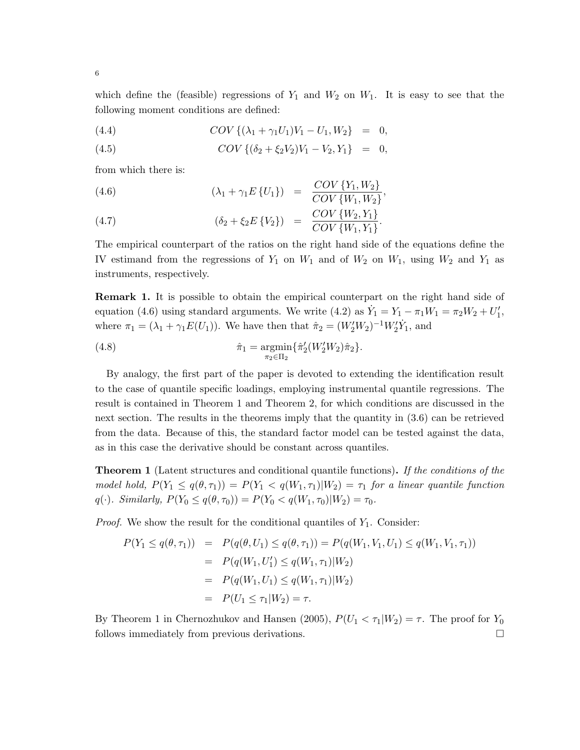which define the (feasible) regressions of  $Y_1$  and  $W_2$  on  $W_1$ . It is easy to see that the following moment conditions are defined:

(4.4) 
$$
COV\{(\lambda_1 + \gamma_1 U_1)V_1 - U_1, W_2\} = 0,
$$

(4.5) 
$$
COV\{(\delta_2 + \xi_2 V_2)V_1 - V_2, Y_1\} = 0,
$$

from which there is:

(4.6) 
$$
(\lambda_1 + \gamma_1 E \{U_1\}) = \frac{COV \{Y_1, W_2\}}{COV \{W_1, W_2\}},
$$

(4.7) 
$$
(\delta_2 + \xi_2 E \{V_2\}) = \frac{COV \{W_2, Y_1\}}{COV \{W_1, Y_1\}}.
$$

The empirical counterpart of the ratios on the right hand side of the equations define the IV estimand from the regressions of  $Y_1$  on  $W_1$  and of  $W_2$  on  $W_1$ , using  $W_2$  and  $Y_1$  as instruments, respectively.

**Remark 1.** It is possible to obtain the empirical counterpart on the right hand side of equation (4.6) using standard arguments. We write (4.2) as  $\dot{Y}_1 = Y_1 - \pi_1 W_1 = \pi_2 W_2 + U'_1$ , where  $\pi_1 = (\lambda_1 + \gamma_1 E(U_1))$ . We have then that  $\hat{\pi}_2 = (W'_2 W_2)^{-1} W'_2 \dot{Y}_1$ , and

(4.8) 
$$
\hat{\pi}_1 = \underset{\pi_2 \in \Pi_2}{\text{argmin}} \{ \hat{\pi}_2'(W_2'W_2) \hat{\pi}_2 \}.
$$

By analogy, the first part of the paper is devoted to extending the identification result to the case of quantile specific loadings, employing instrumental quantile regressions. The result is contained in Theorem 1 and Theorem 2, for which conditions are discussed in the next section. The results in the theorems imply that the quantity in (3.6) can be retrieved from the data. Because of this, the standard factor model can be tested against the data, as in this case the derivative should be constant across quantiles.

**Theorem 1** (Latent structures and conditional quantile functions)**.** *If the conditions of the model hold,*  $P(Y_1 \leq q(\theta, \tau_1)) = P(Y_1 < q(W_1, \tau_1) | W_2) = \tau_1$  for a linear quantile function  $q(\cdot)$ *. Similarly,*  $P(Y_0 \leq q(\theta, \tau_0)) = P(Y_0 < q(W_1, \tau_0) | W_2) = \tau_0$ *.* 

*Proof.* We show the result for the conditional quantiles of  $Y_1$ . Consider:

$$
P(Y_1 \le q(\theta, \tau_1)) = P(q(\theta, U_1) \le q(\theta, \tau_1)) = P(q(W_1, V_1, U_1) \le q(W_1, V_1, \tau_1))
$$
  
=  $P(q(W_1, U'_1) \le q(W_1, \tau_1)|W_2)$   
=  $P(q(W_1, U_1) \le q(W_1, \tau_1)|W_2)$   
=  $P(U_1 \le \tau_1|W_2) = \tau.$ 

By Theorem 1 in Chernozhukov and Hansen (2005),  $P(U_1 < \tau_1 | W_2) = \tau$ . The proof for  $Y_0$ follows immediately from previous derivations.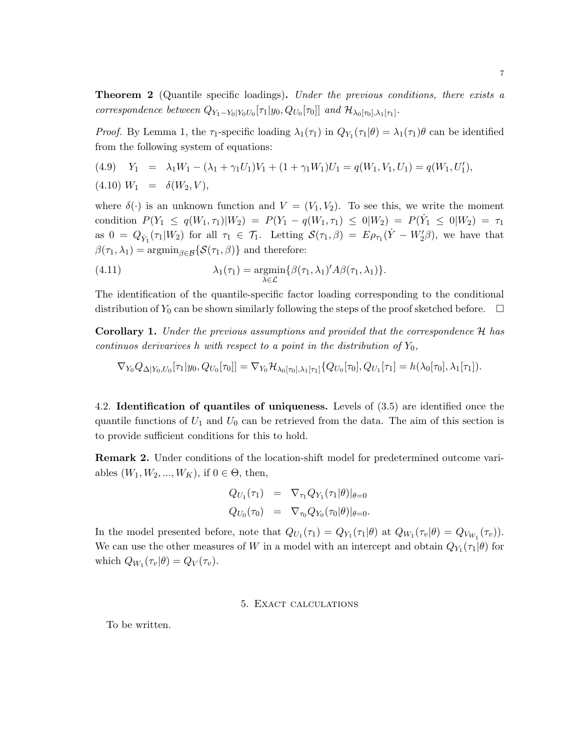**Theorem 2** (Quantile specific loadings)**.** *Under the previous conditions, there exists a correspondence between*  $Q_{Y_1 - Y_0|Y_0U_0}[\tau_1|y_0, Q_{U_0}[\tau_0]]$  *and*  $\mathcal{H}_{\lambda_0[\tau_0],\lambda_1[\tau_1]}$ .

*Proof.* By Lemma 1, the  $\tau_1$ -specific loading  $\lambda_1(\tau_1)$  in  $Q_{Y_1}(\tau_1|\theta) = \lambda_1(\tau_1)\theta$  can be identified from the following system of equations:

(4.9) 
$$
Y_1 = \lambda_1 W_1 - (\lambda_1 + \gamma_1 U_1) V_1 + (1 + \gamma_1 W_1) U_1 = q(W_1, V_1, U_1) = q(W_1, U'_1),
$$
  
(4.10)  $W_1 = \delta(W_2, V),$ 

where  $\delta(\cdot)$  is an unknown function and  $V = (V_1, V_2)$ . To see this, we write the moment condition  $P(Y_1 \le q(W_1, \tau_1)|W_2) = P(Y_1 - q(W_1, \tau_1) \le 0|W_2) = P(Y_1 \le 0|W_2) = \tau_1$ as  $0 = Q_{\dot{Y}_1}(\tau_1 | W_2)$  for all  $\tau_1 \in \mathcal{T}_1$ . Letting  $\mathcal{S}(\tau_1, \beta) = E \rho_{\tau_1}(\dot{Y} - W_2' \beta)$ , we have that  $\beta(\tau_1, \lambda_1) = \operatorname{argmin}_{\beta \in \mathcal{B}} \{ \mathcal{S}(\tau_1, \beta) \}$  and therefore:

(4.11) 
$$
\lambda_1(\tau_1) = \underset{\lambda \in \mathcal{L}}{\operatorname{argmin}} \{ \beta(\tau_1, \lambda_1)' A \beta(\tau_1, \lambda_1) \}.
$$

The identification of the quantile-specific factor loading corresponding to the conditional distribution of  $Y_0$  can be shown similarly following the steps of the proof sketched before.  $\Box$ 

**Corollary 1.** *Under the previous assumptions and provided that the correspondence H has continuos derivarives h with respect to a point in the distribution of*  $Y_0$ ,

 $\nabla_{Y_0} Q_{\Delta | Y_0, U_0}[\tau_1 | y_0, Q_{U_0}[\tau_0]] = \nabla_{Y_0} \mathcal{H}_{\lambda_0[\tau_0], \lambda_1[\tau_1]} \{Q_{U_0}[\tau_0], Q_{U_1}[\tau_1] = h(\lambda_0[\tau_0], \lambda_1[\tau_1]).$ 

4.2. **Identification of quantiles of uniqueness.** Levels of (3.5) are identified once the quantile functions of  $U_1$  and  $U_0$  can be retrieved from the data. The aim of this section is to provide sufficient conditions for this to hold.

**Remark 2.** Under conditions of the location-shift model for predetermined outcome variables  $(W_1, W_2, ..., W_K)$ , if  $0 \in \Theta$ , then,

$$
Q_{U_1}(\tau_1) = \nabla_{\tau_1} Q_{Y_1}(\tau_1 | \theta) |_{\theta=0}
$$
  
\n
$$
Q_{U_0}(\tau_0) = \nabla_{\tau_0} Q_{Y_0}(\tau_0 | \theta) |_{\theta=0}.
$$

In the model presented before, note that  $Q_{U_1}(\tau_1) = Q_{Y_1}(\tau_1|\theta)$  at  $Q_{W_1}(\tau_v|\theta) = Q_{V_{W_1}}(\tau_v)$ . We can use the other measures of *W* in a model with an intercept and obtain  $Q_{Y_1}(\tau_1|\theta)$  for which  $Q_{W_1}(\tau_v|\theta) = Q_V(\tau_v)$ .

#### 5. Exact calculations

To be written.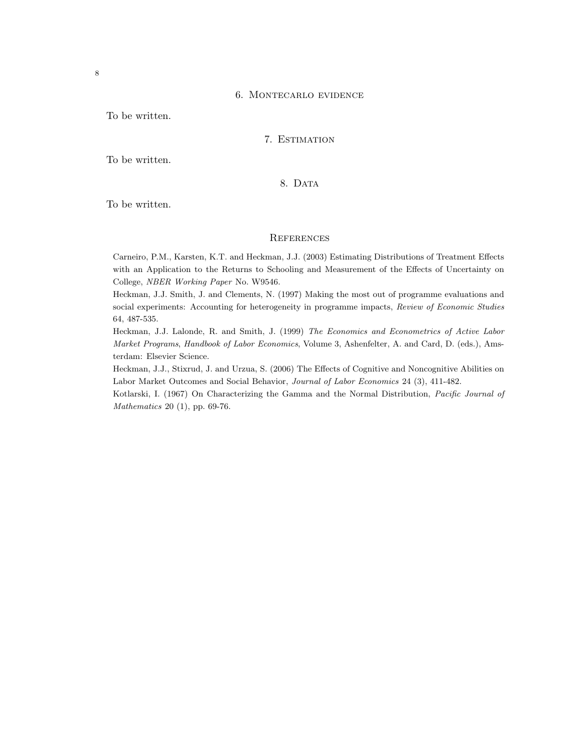#### 6. Montecarlo evidence

To be written.

### 7. Estimation

To be written.

## 8. DATA

To be written.

### **REFERENCES**

Carneiro, P.M., Karsten, K.T. and Heckman, J.J. (2003) Estimating Distributions of Treatment Effects with an Application to the Returns to Schooling and Measurement of the Effects of Uncertainty on College, *NBER Working Paper* No. W9546.

Heckman, J.J. Smith, J. and Clements, N. (1997) Making the most out of programme evaluations and social experiments: Accounting for heterogeneity in programme impacts, *Review of Economic Studies* 64, 487-535.

Heckman, J.J. Lalonde, R. and Smith, J. (1999) *The Economics and Econometrics of Active Labor Market Programs*, *Handbook of Labor Economics*, Volume 3, Ashenfelter, A. and Card, D. (eds.), Amsterdam: Elsevier Science.

Heckman, J.J., Stixrud, J. and Urzua, S. (2006) The Effects of Cognitive and Noncognitive Abilities on Labor Market Outcomes and Social Behavior, *Journal of Labor Economics* 24 (3), 411-482.

Kotlarski, I. (1967) On Characterizing the Gamma and the Normal Distribution, *Pacific Journal of Mathematics* 20 (1), pp. 69-76.